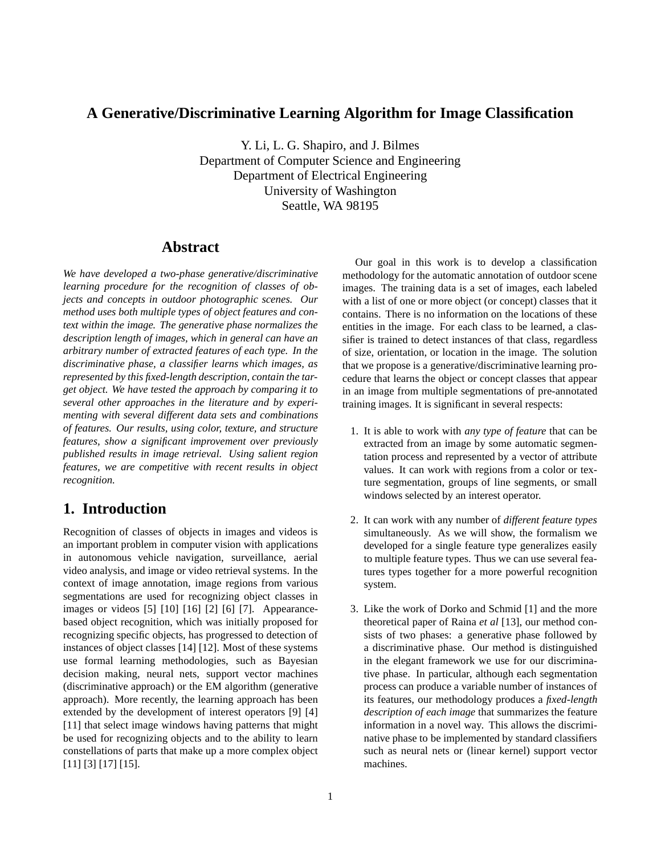# **A Generative/Discriminative Learning Algorithm for Image Classification**

Y. Li, L. G. Shapiro, and J. Bilmes Department of Computer Science and Engineering Department of Electrical Engineering University of Washington Seattle, WA 98195

# **Abstract**

*We have developed a two-phase generative/discriminative learning procedure for the recognition of classes of objects and concepts in outdoor photographic scenes. Our method uses both multiple types of object features and context within the image. The generative phase normalizes the description length of images, which in general can have an arbitrary number of extracted features of each type. In the discriminative phase, a classifier learns which images, as represented by this fixed-length description, contain the target object. We have tested the approach by comparing it to several other approaches in the literature and by experimenting with several different data sets and combinations of features. Our results, using color, texture, and structure features, show a significant improvement over previously published results in image retrieval. Using salient region features, we are competitive with recent results in object recognition.*

# **1. Introduction**

Recognition of classes of objects in images and videos is an important problem in computer vision with applications in autonomous vehicle navigation, surveillance, aerial video analysis, and image or video retrieval systems. In the context of image annotation, image regions from various segmentations are used for recognizing object classes in images or videos [5] [10] [16] [2] [6] [7]. Appearancebased object recognition, which was initially proposed for recognizing specific objects, has progressed to detection of instances of object classes [14] [12]. Most of these systems use formal learning methodologies, such as Bayesian decision making, neural nets, support vector machines (discriminative approach) or the EM algorithm (generative approach). More recently, the learning approach has been extended by the development of interest operators [9] [4] [11] that select image windows having patterns that might be used for recognizing objects and to the ability to learn constellations of parts that make up a more complex object [11] [3] [17] [15].

Our goal in this work is to develop a classification methodology for the automatic annotation of outdoor scene images. The training data is a set of images, each labeled with a list of one or more object (or concept) classes that it contains. There is no information on the locations of these entities in the image. For each class to be learned, a classifier is trained to detect instances of that class, regardless of size, orientation, or location in the image. The solution that we propose is a generative/discriminative learning procedure that learns the object or concept classes that appear in an image from multiple segmentations of pre-annotated training images. It is significant in several respects:

- 1. It is able to work with *any type of feature* that can be extracted from an image by some automatic segmentation process and represented by a vector of attribute values. It can work with regions from a color or texture segmentation, groups of line segments, or small windows selected by an interest operator.
- 2. It can work with any number of *different feature types* simultaneously. As we will show, the formalism we developed for a single feature type generalizes easily to multiple feature types. Thus we can use several features types together for a more powerful recognition system.
- 3. Like the work of Dorko and Schmid [1] and the more theoretical paper of Raina *et al* [13], our method consists of two phases: a generative phase followed by a discriminative phase. Our method is distinguished in the elegant framework we use for our discriminative phase. In particular, although each segmentation process can produce a variable number of instances of its features, our methodology produces a *fixed-length description of each image* that summarizes the feature information in a novel way. This allows the discriminative phase to be implemented by standard classifiers such as neural nets or (linear kernel) support vector machines.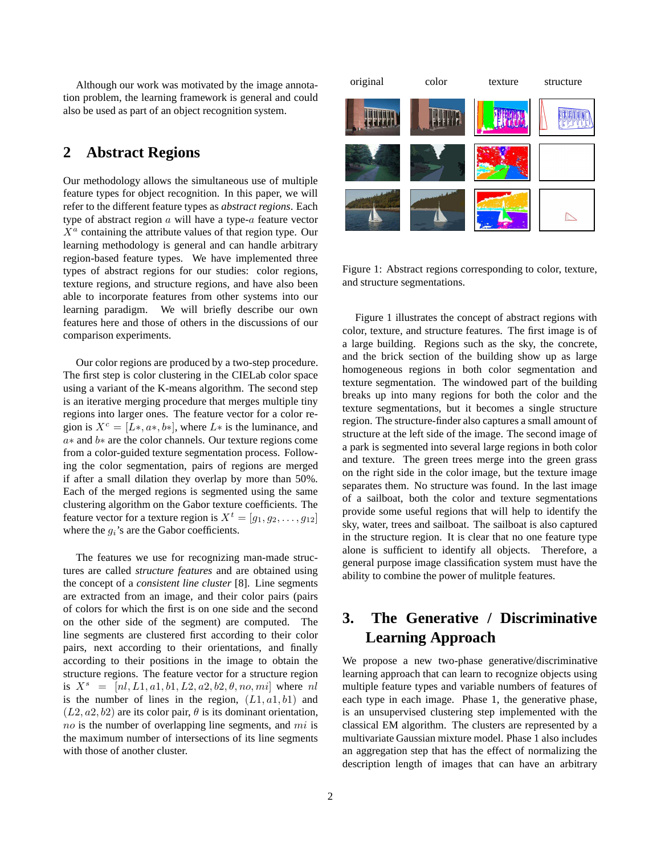Although our work was motivated by the image annotation problem, the learning framework is general and could also be used as part of an object recognition system.

# **2 Abstract Regions**

Our methodology allows the simultaneous use of multiple feature types for object recognition. In this paper, we will refer to the different feature types as *abstract regions*. Each type of abstract region  $a$  will have a type- $a$  feature vector  $X^a$  containing the attribute values of that region type. Our learning methodology is general and can handle arbitrary region-based feature types. We have implemented three types of abstract regions for our studies: color regions, texture regions, and structure regions, and have also been able to incorporate features from other systems into our learning paradigm. We will briefly describe our own features here and those of others in the discussions of our comparison experiments.

Our color regions are produced by a two-step procedure. The first step is color clustering in the CIELab color space using a variant of the K-means algorithm. The second step is an iterative merging procedure that merges multiple tiny regions into larger ones. The feature vector for a color region is  $X^c = [L*, a*, b*]$ , where L<sup>\*</sup> is the luminance, and a∗ and b∗ are the color channels. Our texture regions come from a color-guided texture segmentation process. Following the color segmentation, pairs of regions are merged if after a small dilation they overlap by more than 50%. Each of the merged regions is segmented using the same clustering algorithm on the Gabor texture coefficients. The feature vector for a texture region is  $X^t = [q_1, q_2, \ldots, q_{12}]$ where the  $g_i$ 's are the Gabor coefficients.

The features we use for recognizing man-made structures are called *structure features* and are obtained using the concept of a *consistent line cluster* [8]. Line segments are extracted from an image, and their color pairs (pairs of colors for which the first is on one side and the second on the other side of the segment) are computed. The line segments are clustered first according to their color pairs, next according to their orientations, and finally according to their positions in the image to obtain the structure regions. The feature vector for a structure region is  $X^s = [nl, L1, a1, b1, L2, a2, b2, \theta, no, ml]$  where nl is the number of lines in the region,  $(L1, a1, b1)$  and  $(L2, a2, b2)$  are its color pair,  $\theta$  is its dominant orientation,  $no$  is the number of overlapping line segments, and  $mi$  is the maximum number of intersections of its line segments with those of another cluster.



Figure 1: Abstract regions corresponding to color, texture, and structure segmentations.

Figure 1 illustrates the concept of abstract regions with color, texture, and structure features. The first image is of a large building. Regions such as the sky, the concrete, and the brick section of the building show up as large homogeneous regions in both color segmentation and texture segmentation. The windowed part of the building breaks up into many regions for both the color and the texture segmentations, but it becomes a single structure region. The structure-finder also captures a small amount of structure at the left side of the image. The second image of a park is segmented into several large regions in both color and texture. The green trees merge into the green grass on the right side in the color image, but the texture image separates them. No structure was found. In the last image of a sailboat, both the color and texture segmentations provide some useful regions that will help to identify the sky, water, trees and sailboat. The sailboat is also captured in the structure region. It is clear that no one feature type alone is sufficient to identify all objects. Therefore, a general purpose image classification system must have the ability to combine the power of mulitple features.

# **3. The Generative / Discriminative Learning Approach**

We propose a new two-phase generative/discriminative learning approach that can learn to recognize objects using multiple feature types and variable numbers of features of each type in each image. Phase 1, the generative phase, is an unsupervised clustering step implemented with the classical EM algorithm. The clusters are represented by a multivariate Gaussian mixture model. Phase 1 also includes an aggregation step that has the effect of normalizing the description length of images that can have an arbitrary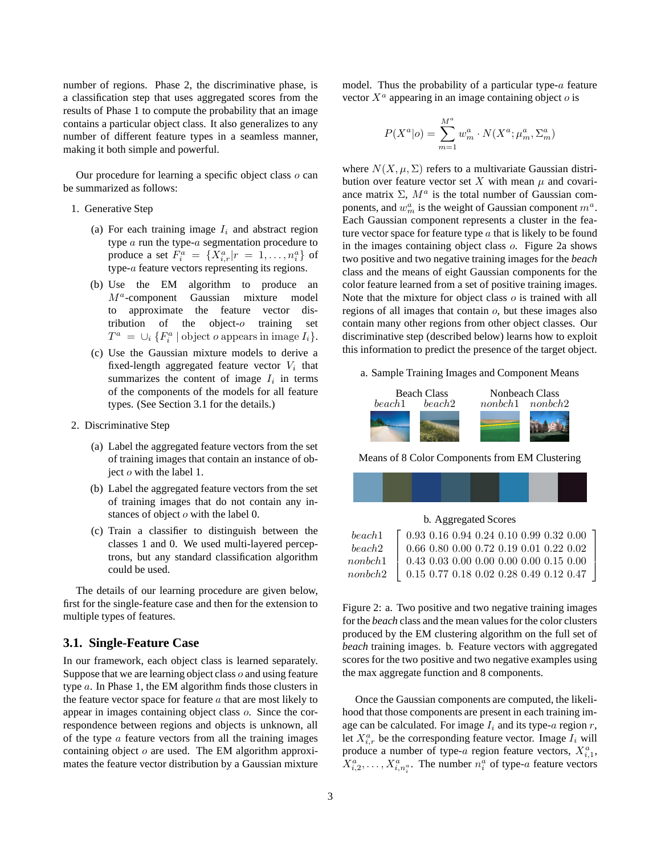number of regions. Phase 2, the discriminative phase, is a classification step that uses aggregated scores from the results of Phase 1 to compute the probability that an image contains a particular object class. It also generalizes to any number of different feature types in a seamless manner, making it both simple and powerful.

Our procedure for learning a specific object class  $o$  can be summarized as follows:

- 1. Generative Step
	- (a) For each training image  $I_i$  and abstract region type a run the type-a segmentation procedure to produce a set  $F_i^a = \{X_{i,r}^a | r = 1, \ldots, n_i^a\}$  of type-a feature vectors representing its regions.
	- (b) Use the EM algorithm to produce an  $M^a$ -component Gaussian mixture model to approximate the feature vector distribution of the object-o training set  $T^a = \bigcup_i \{F_i^a \mid \text{object } o \text{ appears in image } I_i\}.$
	- (c) Use the Gaussian mixture models to derive a fixed-length aggregated feature vector  $V_i$  that summarizes the content of image  $I_i$  in terms of the components of the models for all feature types. (See Section 3.1 for the details.)
- 2. Discriminative Step
	- (a) Label the aggregated feature vectors from the set of training images that contain an instance of object o with the label 1.
	- (b) Label the aggregated feature vectors from the set of training images that do not contain any instances of object  $o$  with the label 0.
	- (c) Train a classifier to distinguish between the classes 1 and 0. We used multi-layered perceptrons, but any standard classification algorithm could be used.

The details of our learning procedure are given below, first for the single-feature case and then for the extension to multiple types of features.

## **3.1. Single-Feature Case**

In our framework, each object class is learned separately. Suppose that we are learning object class  $o$  and using feature type a. In Phase 1, the EM algorithm finds those clusters in the feature vector space for feature  $a$  that are most likely to appear in images containing object class o. Since the correspondence between regions and objects is unknown, all of the type  $\alpha$  feature vectors from all the training images containing object  $o$  are used. The EM algorithm approximates the feature vector distribution by a Gaussian mixture model. Thus the probability of a particular type- $a$  feature vector  $X^a$  appearing in an image containing object  $o$  is

$$
P(X^a|o) = \sum_{m=1}^{M^a} w_m^a \cdot N(X^a; \mu_m^a, \Sigma_m^a)
$$

where  $N(X, \mu, \Sigma)$  refers to a multivariate Gaussian distribution over feature vector set X with mean  $\mu$  and covariance matrix  $\Sigma$ ,  $M^a$  is the total number of Gaussian components, and  $w_m^a$  is the weight of Gaussian component  $m^a$ . Each Gaussian component represents a cluster in the feature vector space for feature type  $\alpha$  that is likely to be found in the images containing object class o. Figure 2a shows two positive and two negative training images for the *beach* class and the means of eight Gaussian components for the color feature learned from a set of positive training images. Note that the mixture for object class  $o$  is trained with all regions of all images that contain o, but these images also contain many other regions from other object classes. Our discriminative step (described below) learns how to exploit this information to predict the presence of the target object.

a. Sample Training Images and Component Means



Means of 8 Color Components from EM Clustering



b. Aggregated Scores

| beach1  | $\begin{bmatrix} 0.93 & 0.16 & 0.94 & 0.24 & 0.10 & 0.99 & 0.32 & 0.00 \end{bmatrix}$ |
|---------|---------------------------------------------------------------------------------------|
| beach2  | $0.66\ 0.80\ 0.00\ 0.72\ 0.19\ 0.01\ 0.22\ 0.02$                                      |
| nombch1 | $0.43\;0.03\;0.00\;0.00\;0.00\;0.00\;0.15\;0.00$                                      |
| nombch2 | $0.15\;0.77\;0.18\;0.02\;0.28\;0.49\;0.12\;0.47$                                      |

Figure 2: a. Two positive and two negative training images for the *beach* class and the mean values for the color clusters produced by the EM clustering algorithm on the full set of *beach* training images. b. Feature vectors with aggregated scores for the two positive and two negative examples using the max aggregate function and 8 components.

Once the Gaussian components are computed, the likelihood that those components are present in each training image can be calculated. For image  $I_i$  and its type-a region r, let  $X_{i,r}^a$  be the corresponding feature vector. Image  $I_i$  will produce a number of type-a region feature vectors,  $X_{i,1}^a$ ,  $X_{i,2}^a, \ldots, X_{i,n_i^a}^a$ . The number  $n_i^a$  of type-*a* feature vectors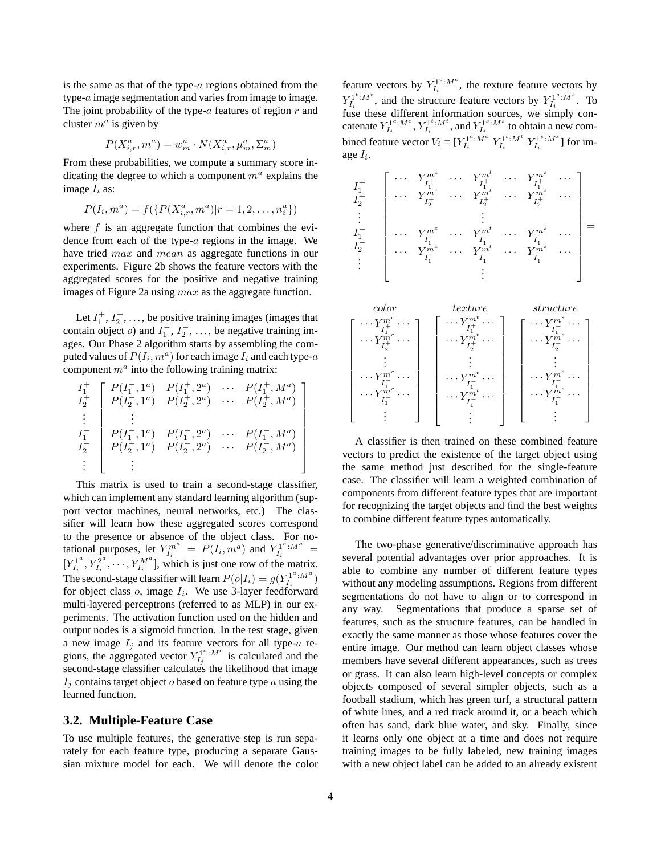is the same as that of the type- $a$  regions obtained from the type-a image segmentation and varies from image to image. The joint probability of the type- $a$  features of region  $r$  and cluster  $m^a$  is given by

$$
P(X_{i,r}^a, m^a) = w_m^a \cdot N(X_{i,r}^a, \mu_m^a, \Sigma_m^a)
$$

From these probabilities, we compute a summary score indicating the degree to which a component  $m<sup>a</sup>$  explains the image  $I_i$  as:

$$
P(I_i, m^a) = f(\{P(X_{i,r}^a, m^a)|r = 1, 2, \dots, n_i^a\})
$$

where  $f$  is an aggregate function that combines the evidence from each of the type-a regions in the image. We have tried *max* and *mean* as aggregate functions in our experiments. Figure 2b shows the feature vectors with the aggregated scores for the positive and negative training images of Figure 2a using *max* as the aggregate function.

Let  $I_1^+, I_2^+, \ldots$ , be positive training images (images that contain object *o*) and  $I_1^ \frac{1}{1}$ ,  $I_2^ \overline{2}$ , ..., be negative training images. Our Phase 2 algorithm starts by assembling the computed values of  $P(I_i, m^a)$  for each image  $I_i$  and each type- $a$ component  $m^a$  into the following training matrix:

$$
\begin{array}{c}\nI_1^+ \\
I_2^+ \\
I_2^+ \\
\vdots \\
I_1^- \\
I_2^- \\
I_2^- \\
\vdots \\
\end{array}\n\begin{bmatrix}\nP(I_1^+, 1^a) & P(I_1^+, 2^a) & \cdots & P(I_1^+, M^a) \\
P(I_2^+, 1^a) & P(I_2^+, 2^a) & \cdots & P(I_2^+, M^a) \\
\vdots & \vdots & \ddots & \vdots \\
P(I_1^-, 1^a) & P(I_1^-, 2^a) & \cdots & P(I_1^-, M^a) \\
\vdots & \vdots & \ddots & \vdots\n\end{bmatrix}
$$

This matrix is used to train a second-stage classifier, which can implement any standard learning algorithm (support vector machines, neural networks, etc.) The classifier will learn how these aggregated scores correspond to the presence or absence of the object class. For notational purposes, let  $Y_{I_i}^{m^a} = P(I_i, m^a)$  and  $Y_{I_i}^{1^a:M^a} =$  $[Y_{I_i}^{1^a}, Y_{I_i}^{2^a}, \cdots, Y_{I_i}^{M^a}]$ , which is just one row of the matrix. The second-stage classifier will learn  $P(o|I_i) = g(Y_{I_i}^{1^a: M^a})$ for object class  $o$ , image  $I_i$ . We use 3-layer feedforward multi-layered perceptrons (referred to as MLP) in our experiments. The activation function used on the hidden and output nodes is a sigmoid function. In the test stage, given a new image  $I_i$  and its feature vectors for all type-a regions, the aggregated vector  $Y_{I_j}^{1^a:M^a}$  is calculated and the second-stage classifier calculates the likelihood that image  $I_i$  contains target object  $o$  based on feature type  $a$  using the learned function.

### **3.2. Multiple-Feature Case**

To use multiple features, the generative step is run separately for each feature type, producing a separate Gaussian mixture model for each. We will denote the color

feature vectors by  $Y_{I_i}^{1^c:M^c}$ , the texture feature vectors by  $Y_{I_i}^{1^t:M^t}$ , and the structure feature vectors by  $Y_{I_i}^{1^s:M^s}$ . To fuse these different information sources, we simply concatenate  $Y_{I_i}^{1^c:M^c}, Y_{I_i}^{1^t:M^t}$ , and  $Y_{I_i}^{1^s:M^s}$  to obtain a new combined feature vector  $V_i = [Y_{I_i}^{1^c:M^c} Y_{I_i}^{1^t:M^t} Y_{I_i}^{1^s:M^s}]$  for image  $I_i$ .





A classifier is then trained on these combined feature vectors to predict the existence of the target object using the same method just described for the single-feature case. The classifier will learn a weighted combination of components from different feature types that are important for recognizing the target objects and find the best weights to combine different feature types automatically.

The two-phase generative/discriminative approach has several potential advantages over prior approaches. It is able to combine any number of different feature types without any modeling assumptions. Regions from different segmentations do not have to align or to correspond in any way. Segmentations that produce a sparse set of features, such as the structure features, can be handled in exactly the same manner as those whose features cover the entire image. Our method can learn object classes whose members have several different appearances, such as trees or grass. It can also learn high-level concepts or complex objects composed of several simpler objects, such as a football stadium, which has green turf, a structural pattern of white lines, and a red track around it, or a beach which often has sand, dark blue water, and sky. Finally, since it learns only one object at a time and does not require training images to be fully labeled, new training images with a new object label can be added to an already existent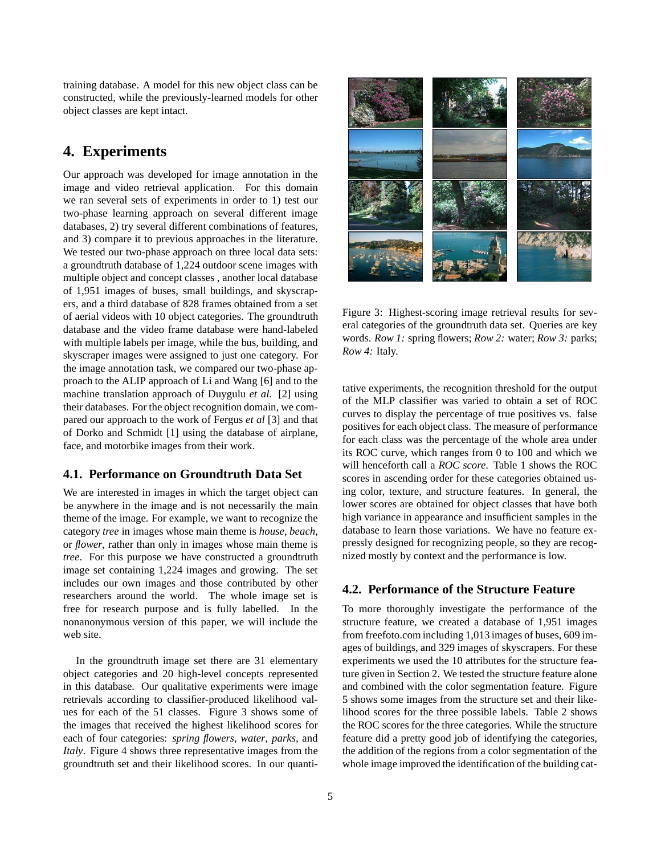training database. A model for this new object class can be constructed, while the previously-learned models for other object classes are kept intact.

# **4. Experiments**

Our approach was developed for image annotation in the image and video retrieval application. For this domain we ran several sets of experiments in order to 1) test our two-phase learning approach on several different image databases, 2) try several different combinations of features, and 3) compare it to previous approaches in the literature. We tested our two-phase approach on three local data sets: a groundtruth database of 1,224 outdoor scene images with multiple object and concept classes , another local database of 1,951 images of buses, small buildings, and skyscrapers, and a third database of 828 frames obtained from a set of aerial videos with 10 object categories. The groundtruth database and the video frame database were hand-labeled with multiple labels per image, while the bus, building, and skyscraper images were assigned to just one category. For the image annotation task, we compared our two-phase approach to the ALIP approach of Li and Wang [6] and to the machine translation approach of Duygulu *et al.* [2] using their databases. For the object recognition domain, we compared our approach to the work of Fergus *et al* [3] and that of Dorko and Schmidt [1] using the database of airplane, face, and motorbike images from their work.

## **4.1. Performance on Groundtruth Data Set**

We are interested in images in which the target object can be anywhere in the image and is not necessarily the main theme of the image. For example, we want to recognize the category *tree* in images whose main theme is *house*, *beach*, or *flower*, rather than only in images whose main theme is *tree*. For this purpose we have constructed a groundtruth image set containing 1,224 images and growing. The set includes our own images and those contributed by other researchers around the world. The whole image set is free for research purpose and is fully labelled. In the nonanonymous version of this paper, we will include the web site.

In the groundtruth image set there are 31 elementary object categories and 20 high-level concepts represented in this database. Our qualitative experiments were image retrievals according to classifier-produced likelihood values for each of the 51 classes. Figure 3 shows some of the images that received the highest likelihood scores for each of four categories: *spring flowers*, *water*, *parks*, and *Italy*. Figure 4 shows three representative images from the groundtruth set and their likelihood scores. In our quanti-



Figure 3: Highest-scoring image retrieval results for several categories of the groundtruth data set. Queries are key words. *Row 1:* spring flowers; *Row 2:* water; *Row 3:* parks; *Row 4:* Italy.

tative experiments, the recognition threshold for the output of the MLP classifier was varied to obtain a set of ROC curves to display the percentage of true positives vs. false positives for each object class. The measure of performance for each class was the percentage of the whole area under its ROC curve, which ranges from 0 to 100 and which we will henceforth call a *ROC score*. Table 1 shows the ROC scores in ascending order for these categories obtained using color, texture, and structure features. In general, the lower scores are obtained for object classes that have both high variance in appearance and insufficient samples in the database to learn those variations. We have no feature expressly designed for recognizing people, so they are recognized mostly by context and the performance is low.

## **4.2. Performance of the Structure Feature**

To more thoroughly investigate the performance of the structure feature, we created a database of 1,951 images from freefoto.com including 1,013 images of buses, 609 images of buildings, and 329 images of skyscrapers. For these experiments we used the 10 attributes for the structure feature given in Section 2. We tested the structure feature alone and combined with the color segmentation feature. Figure 5 shows some images from the structure set and their likelihood scores for the three possible labels. Table 2 shows the ROC scores for the three categories. While the structure feature did a pretty good job of identifying the categories, the addition of the regions from a color segmentation of the whole image improved the identification of the building cat-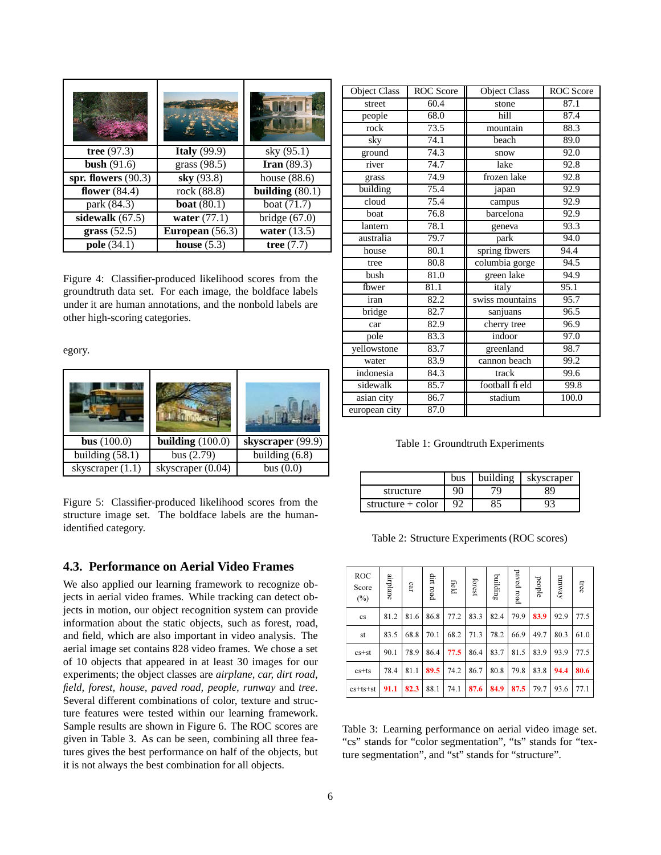|                       |                 | <b>TALL</b>       |
|-----------------------|-----------------|-------------------|
| tree $(97.3)$         | Italy $(99.9)$  | sky (95.1)        |
| bush $(91.6)$         | grass (98.5)    | Iran $(89.3)$     |
| spr. flowers $(90.3)$ | sky (93.8)      | house $(88.6)$    |
| flower $(84.4)$       | rock (88.8)     | building $(80.1)$ |
| park (84.3)           | boat $(80.1)$   | boat (71.7)       |
| sidewalk $(67.5)$     | water $(77.1)$  | bridge $(67.0)$   |
| grass $(52.5)$        | European (56.3) | water $(13.5)$    |
| pole $(34.1)$         | house $(5.3)$   | tree $(7.7)$      |

Figure 4: Classifier-produced likelihood scores from the groundtruth data set. For each image, the boldface labels under it are human annotations, and the nonbold labels are other high-scoring categories.

egory.

| <b>bus</b> $(100.0)$ | building $(100.0)$ | skyscraper (99.9) |
|----------------------|--------------------|-------------------|
| building $(58.1)$    | bus $(2.79)$       | building $(6.8)$  |
| skyscraper (1.1)     | skyscraper (0.04)  | bus $(0.0)$       |

Figure 5: Classifier-produced likelihood scores from the structure image set. The boldface labels are the humanidentified category.

## **4.3. Performance on Aerial Video Frames**

We also applied our learning framework to recognize objects in aerial video frames. While tracking can detect objects in motion, our object recognition system can provide information about the static objects, such as forest, road, and field, which are also important in video analysis. The aerial image set contains 828 video frames. We chose a set of 10 objects that appeared in at least 30 images for our experiments; the object classes are *airplane, car, dirt road, field, forest, house, paved road, people, runway* and *tree*. Several different combinations of color, texture and structure features were tested within our learning framework. Sample results are shown in Figure 6. The ROC scores are given in Table 3. As can be seen, combining all three features gives the best performance on half of the objects, but it is not always the best combination for all objects.

| <b>Object Class</b> | <b>ROC</b> Score | <b>Object Class</b> | ROC Score |
|---------------------|------------------|---------------------|-----------|
| street              | 60.4             | stone               | 87.1      |
| people              | 68.0             | hill                | 87.4      |
| rock                | 73.5             | mountain            | 88.3      |
| sky                 | 74.1             | beach               | 89.0      |
| ground              | 74.3             | snow                | 92.0      |
| river               | 74.7             | lake                | 92.8      |
| grass               | 74.9             | frozen lake         | 92.8      |
| building            | 75.4             | japan               | 92.9      |
| cloud               | 75.4             | campus              | 92.9      |
| boat                | 76.8             | barcelona           | 92.9      |
| lantern             | 78.1             | geneva              | 93.3      |
| australia           | 79.7             | park                | 94.0      |
| house               | 80.1             | spring fbwers       | 94.4      |
| tree                | 80.8             | columbia gorge      | 94.5      |
| bush                | 81.0             | green lake          | 94.9      |
| fbwer               | 81.1             | italy               | 95.1      |
| iran                | 82.2             | swiss mountains     | 95.7      |
| bridge              | 82.7             | sanjuans            | 96.5      |
| car                 | 82.9             | cherry tree         | 96.9      |
| pole                | 83.3             | indoor              | 97.0      |
| yellowstone         | 83.7             | greenland           | 98.7      |
| water               | 83.9             | cannon beach        | 99.2      |
| indonesia           | 84.3             | track               | 99.6      |
| sidewalk            | 85.7             | football fi eld     | 99.8      |
| asian city          | 86.7             | stadium             | 100.0     |
| european city       | 87.0             |                     |           |

Table 1: Groundtruth Experiments

|                     | bus | building | skyscraper |
|---------------------|-----|----------|------------|
| structure           | 90  |          |            |
| structure $+$ color | 92  |          |            |

Table 2: Structure Experiments (ROC scores)

| <b>ROC</b><br>Score<br>$(\%)$ | airplane | car  | dirt road | field | forest | building | paved road | people | runway | tree |
|-------------------------------|----------|------|-----------|-------|--------|----------|------------|--------|--------|------|
| cs                            | 81.2     | 81.6 | 86.8      | 77.2  | 83.3   | 82.4     | 79.9       | 83.9   | 92.9   | 77.5 |
| st                            | 83.5     | 68.8 | 70.1      | 68.2  | 71.3   | 78.2     | 66.9       | 49.7   | 80.3   | 61.0 |
| $cs + st$                     | 90.1     | 78.9 | 86.4      | 77.5  | 86.4   | 83.7     | 81.5       | 83.9   | 93.9   | 77.5 |
| $cs$ <sup>+ts</sup>           | 78.4     | 81.1 | 89.5      | 74.2  | 86.7   | 80.8     | 79.8       | 83.8   | 94.4   | 80.6 |
| $cs + ts + st$                | 91.1     | 82.3 | 88.1      | 74.1  | 87.6   | 84.9     | 87.5       | 79.7   | 93.6   | 77.1 |

Table 3: Learning performance on aerial video image set. "cs" stands for "color segmentation", "ts" stands for "texture segmentation", and "st" stands for "structure".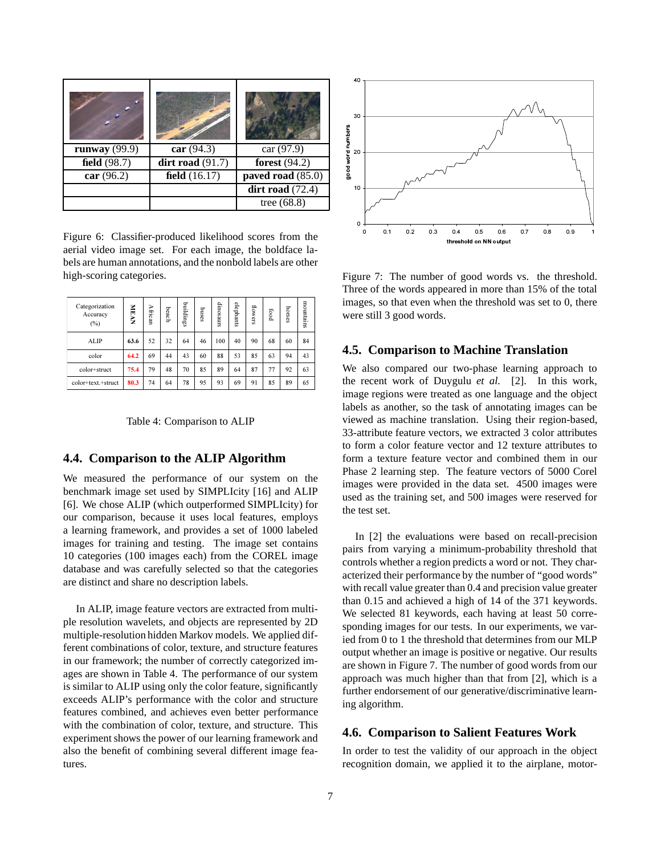| runway $(99.9)$ | car(94.3)          | car (97.9)         |
|-----------------|--------------------|--------------------|
| field $(98.7)$  | dirt road $(91.7)$ | forest $(94.2)$    |
| car $(96.2)$    | field $(16.17)$    | paved road (85.0)  |
|                 |                    | dirt road $(72.4)$ |
|                 |                    | tree $(68.8)$      |

Figure 6: Classifier-produced likelihood scores from the aerial video image set. For each image, the boldface labels are human annotations, and the nonbold labels are other high-scoring categories.

| Categorization<br>Accuracy<br>$(\%)$ | NEAN | African | beach | buildings | puses | dinosaurs | elephants | flowers | bood | horses | mountains |
|--------------------------------------|------|---------|-------|-----------|-------|-----------|-----------|---------|------|--------|-----------|
| <b>ALIP</b>                          | 63.6 | 52      | 32    | 64        | 46    | 100       | 40        | 90      | 68   | 60     | 84        |
| color                                | 64.2 | 69      | 44    | 43        | 60    | 88        | 53        | 85      | 63   | 94     | 43        |
| color+struct                         | 75.4 | 79      | 48    | 70        | 85    | 89        | 64        | 87      | 77   | 92     | 63        |
| color+text.+struct                   | 80.3 | 74      | 64    | 78        | 95    | 93        | 69        | 91      | 85   | 89     | 65        |

Table 4: Comparison to ALIP

#### **4.4. Comparison to the ALIP Algorithm**

We measured the performance of our system on the benchmark image set used by SIMPLIcity [16] and ALIP [6]. We chose ALIP (which outperformed SIMPLIcity) for our comparison, because it uses local features, employs a learning framework, and provides a set of 1000 labeled images for training and testing. The image set contains 10 categories (100 images each) from the COREL image database and was carefully selected so that the categories are distinct and share no description labels.

In ALIP, image feature vectors are extracted from multiple resolution wavelets, and objects are represented by 2D multiple-resolution hidden Markov models. We applied different combinations of color, texture, and structure features in our framework; the number of correctly categorized images are shown in Table 4. The performance of our system is similar to ALIP using only the color feature, significantly exceeds ALIP's performance with the color and structure features combined, and achieves even better performance with the combination of color, texture, and structure. This experiment shows the power of our learning framework and also the benefit of combining several different image features.



Figure 7: The number of good words vs. the threshold. Three of the words appeared in more than 15% of the total images, so that even when the threshold was set to 0, there were still 3 good words.

## **4.5. Comparison to Machine Translation**

We also compared our two-phase learning approach to the recent work of Duygulu *et al.* [2]. In this work, image regions were treated as one language and the object labels as another, so the task of annotating images can be viewed as machine translation. Using their region-based, 33-attribute feature vectors, we extracted 3 color attributes to form a color feature vector and 12 texture attributes to form a texture feature vector and combined them in our Phase 2 learning step. The feature vectors of 5000 Corel images were provided in the data set. 4500 images were used as the training set, and 500 images were reserved for the test set.

In [2] the evaluations were based on recall-precision pairs from varying a minimum-probability threshold that controls whether a region predicts a word or not. They characterized their performance by the number of "good words" with recall value greater than 0.4 and precision value greater than 0.15 and achieved a high of 14 of the 371 keywords. We selected 81 keywords, each having at least 50 corresponding images for our tests. In our experiments, we varied from 0 to 1 the threshold that determines from our MLP output whether an image is positive or negative. Our results are shown in Figure 7. The number of good words from our approach was much higher than that from [2], which is a further endorsement of our generative/discriminative learning algorithm.

#### **4.6. Comparison to Salient Features Work**

In order to test the validity of our approach in the object recognition domain, we applied it to the airplane, motor-